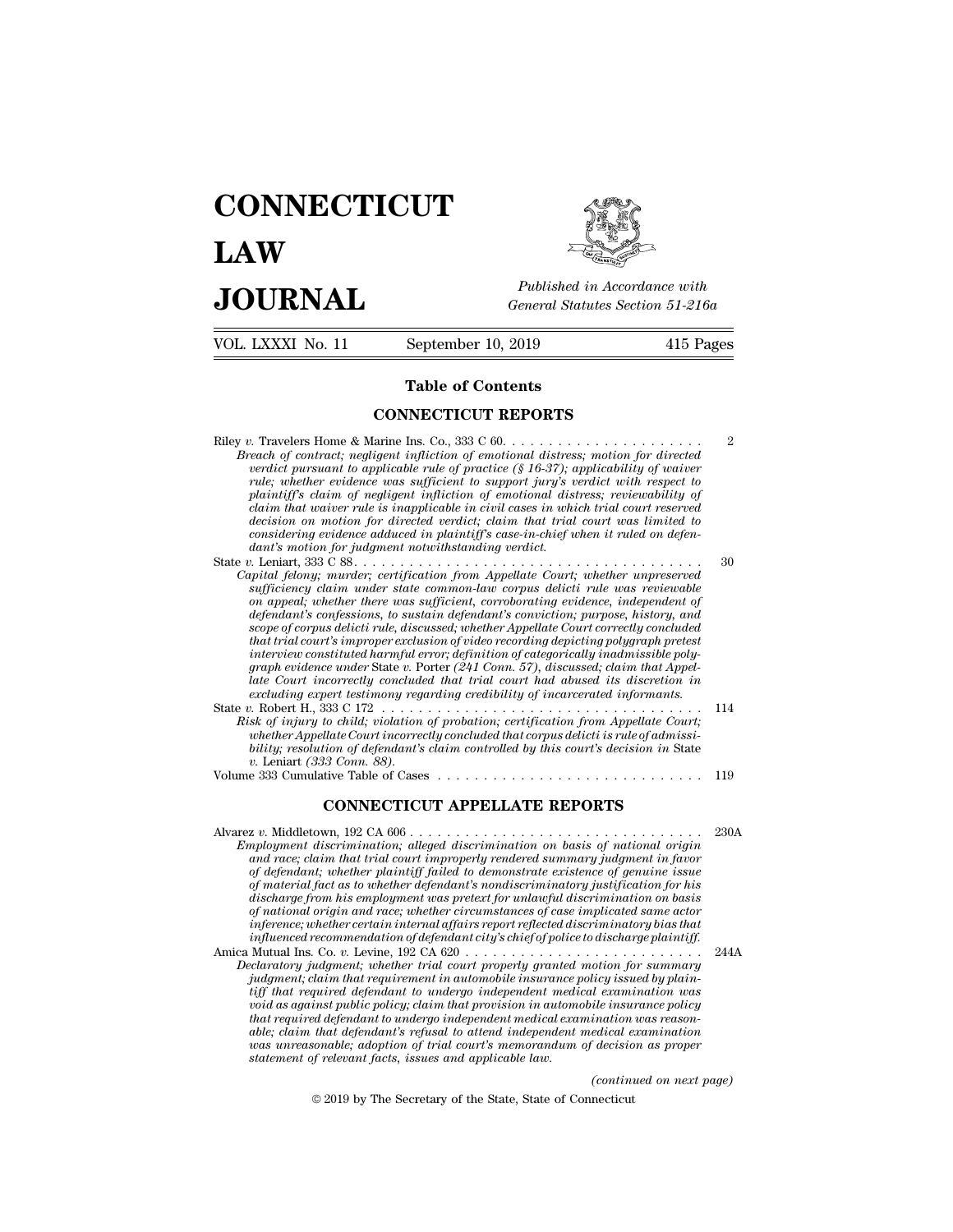# **CONNECTICUT LAW PUBLICE CONNECTICUT**<br> **Published in Accordance with**<br> **JOURNAL** *General Statutes Section 51-216a*<br> **Published in Accordance with**  $\begin{array}{cc}\n\textbf{LAW} & \overbrace{\text{Fubble} \text{m} \text{m}}\n\end{array}$ <br>  $\begin{array}{cc}\n\textbf{JOL RNAL} & \textbf{Pubits in According to 51-216a} \\
\hline\n\textbf{VOL LXXXI No. 11} & \textbf{September 10, 2019} & \textbf{415 Pages}\n\end{array}$



| <b>JOURNAL</b>    | Published in Accordance with<br>General Statutes Section 51-216a |           |
|-------------------|------------------------------------------------------------------|-----------|
| VOL. LXXXI No. 11 | September 10, 2019                                               | 415 Pages |
|                   | <b>Table of Contents</b>                                         |           |
|                   | <b>CONNECTICUT REPORTS</b>                                       |           |
|                   |                                                                  | 2         |

| $\sim$                                                                                                                                                                                                                                                                                                                                                                                                                                                                                                                                                                                                                                                                     | $110 + 120$ |
|----------------------------------------------------------------------------------------------------------------------------------------------------------------------------------------------------------------------------------------------------------------------------------------------------------------------------------------------------------------------------------------------------------------------------------------------------------------------------------------------------------------------------------------------------------------------------------------------------------------------------------------------------------------------------|-------------|
| <b>Table of Contents</b>                                                                                                                                                                                                                                                                                                                                                                                                                                                                                                                                                                                                                                                   |             |
| <b>CONNECTICUT REPORTS</b>                                                                                                                                                                                                                                                                                                                                                                                                                                                                                                                                                                                                                                                 |             |
| Breach of contract; negligent infliction of emotional distress; motion for directed<br>verdict pursuant to applicable rule of practice $(\S 16-37)$ ; applicability of waiver<br>rule; whether evidence was sufficient to support jury's verdict with respect to<br>plaintiff's claim of negligent infliction of emotional distress; reviewability of<br>claim that waiver rule is inapplicable in civil cases in which trial court reserved<br>decision on motion for directed verdict; claim that trial court was limited to<br>considering evidence adduced in plaintiff's case-in-chief when it ruled on defen-<br>dant's motion for judgment notwithstanding verdict. | 2           |
| Capital felony; murder; certification from Appellate Court; whether unpreserved<br>sufficiency claim under state common-law corpus delicti rule was reviewable<br>on appeal; whether there was sufficient, corroborating evidence, independent of<br>defendant's confessions, to sustain defendant's conviction: purpose, history, and                                                                                                                                                                                                                                                                                                                                     | 30          |

*claim that warver rule is inappicable in crivit cases in which trial court reserved*<br>decision on motion for directed verdict; claim that trial court was limited to<br>considering evidence adduced in plaintiffs case-in-chief *decision on motion for arrected veract; claim that trial court was timited to considering evidence adduced in plaintiff's case-in-chief when it ruled on defendant's motion for judgment notwithstanding verdiction; well als scope of corpus delicti rule, discussed; whether Appellate Court correctly concluded* aant's motion for juagment notwithstanding verdict.<br> *that trial fellony; marder; certification from Appellate Court; whether unpreserved*<br> *putial felony; marder; certification from Appellate Court; whether unpreserved*<br> *interview constituted harmful error; definition of categorically inadmissible polygraph telony; murder; certypcation from Appellate Court; whether unpreserved*<br> *graphical welther there was sufficient, corroborating evidence, independent of<br>
defendant's confessions, to sustain defendant's conviction; p* on appeal; whether there was sufficient, corroborating evidence, independent of defendant's confessions, to sustain defendant's conviction; purpose, history, and scope of corpus delicti rule, discussed, whether Appellate C *exampled; whether there was sufficient, corroborating evidence, independent of* defendant's confessions, to sustain defendant's conviction; purpose, history, and scope of corpus delictivile, discussed, whether Appellate C defendant s conjessions, to sustain defendant s conviction; purpose, nistory, and<br>scope of corpus delici rule, discussed; whether Appellate Court correctly concluded<br>that trial court's improper exclusion of video recording *Riscultural court; Risk of injury to child; violation of video recording depicting polygraph pretest*<br>interview constituted harmful error; definition of categorically inadmissible poly-<br>graph evidence under State v. Por *what trial court s improper excussion of viaeo recording depicting polygraph precess<br>interview constituted harmful error; definition of categorically inadmissible poly-<br>graph evidence wader State v. Porter (241 Conn. 57), bility; resolution of defendant's claim controlled that trial court's hate court's incredible late Court' incorrectly concluded that trial court' had abused its discretion in excluding expert testimony regarding credibili v.* Leniart *(333 Conn. 88).* excluding expert testimony requested into the Case of Cases and the Case of Cases Controller Court is the Case of Cases Controller appellate Court is controlled by this court's decision in State v. Robert H, 333 C 172 . . pert testimony regarding credibility of incarcerated informants.<br>
S33 C 172<br>
to child; violation of probation, certification from Appellate Court;<br>
llate Court incorrectly concluded that corpus delicit is rule of admissi-<br>

bility, resolution of defendant's claim controlled by this court's decision in State<br> *v*. Leniart (333 Conn. 88).<br>
Volume 333 Cumulative Table of Cases<br>
Volume 333 Cumulative Table of Cases<br>
CONNECTICUT APPELLATE REPORTS<br> *Employment (333 Conn. 88).*<br> *Employment discrimination on basis of national origin*<br> **Employment discrimination; alleged discrimination on basis of national origin**<br> *Employment discrimination; alleged discrimination on a a a a and acce; claim that trial court improperly rendered summary judgment in favor*<br>*and race; claim that trial court improperly rendered summary judgment in favor*<br>*and race; claim that trial court improperly of defendant; whether plaintiff failed to demonstrate existence of genuine issue of material fact as to whether defendant's nondiscriminatory justification for his discharge from his employment was pretext for unlawful discrimination on basis of national origin and race; whether circumstances of case implicated same actor inference; whether certain internal affairs report reflected discriminatory bias that influenced recommendation, alleged discrimination on basis of national origin*<br>and race; claim that trial court improperly rendered summary judgment in favor<br>of defendant; whether plaintiff failed to demonstrate existence and race; carm und trud court improperty rendered summary judgment in javor<br>of defendant; whether plaintiff failed to demonstrate existence of genuine issue<br>of material fact as to whether defendant's nondiscriminatory just *Declaratory judgment; whether defendant's nondiscriminatory justification for his discharge from his employment was pretext for unlawful discrimination on hasis of national origin and race; whether circumstances of case i inference; whether certain internal affairs report reflected discriminatory bias that*<br>*influenced recommendation of defendant city's chief of police to discharge plaintiff.*<br>
Mutual Ins. Co. v. Levine. 192 CA 620

discharge from his employment was pretext for unlawful discrimination on basis<br>of national origin and race; whether circumstances of case implicated same actor<br>inference; whether certain internal affairs report reflected d *void as against public policing that are excluded is expected discriminatory bias that inference; whether certain internal affairs report reflected discriminatory bias that influenced recommendation of defendant city's ch that required defendant to undergo independent medical examination was reasonable; claim that defendant's refusal to attend independent medical examination was unreasonable; adoption of trial court's memorandum of decision as proper claratory judgment; whether trual court property granted i*<br>*judgment; claim that requirement in automobile insurance p*<br>*tiff that required defendant to undergo independent medical*<br>*twoid as against public policy; claim (examination was<br>
ile insurance policy<br>
ination was reason-<br>
<i>edical examination<br>
decision as proper*<br>
(*continued on next page*)<br>
necticut  $\hat{u}$  and  $\hat{u}$  by The Secretary cluster of the State defendant to undergo independent medical examination<br>that defendant's refusal to attend independent medical examination<br>testing of the State of Connecticut (contin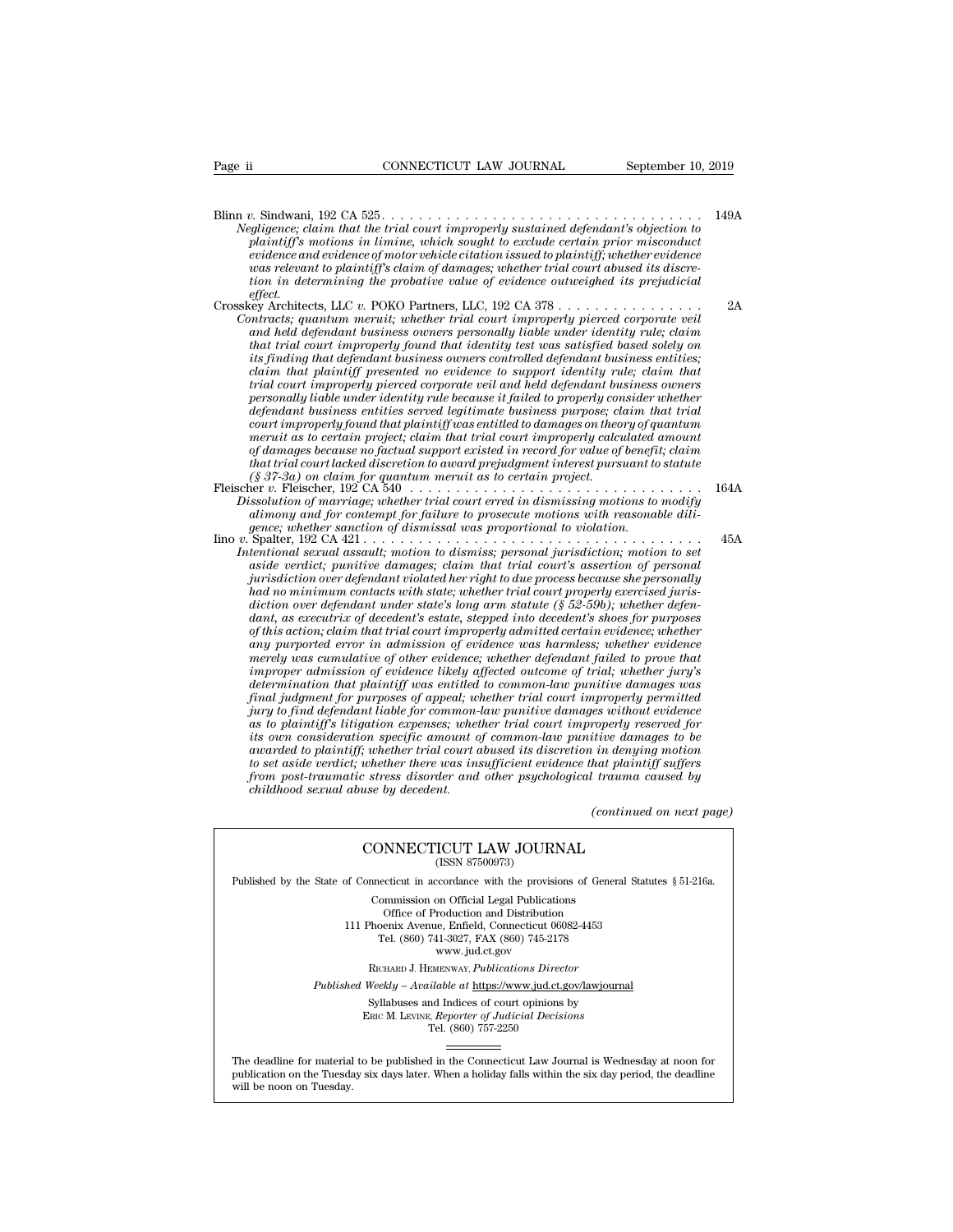Blinn *v.* Sindwani, 192 CA 525 . . . . . . . . . . . . . . . . . . . . . . . . . . . . . . . . . . . 149A *Negligence; claim that the trial court improperly sustained defendant's objection to*<br> *Negligence; claim that the trial court improperly sustained defendant's objection to*<br> *Negligence; claim that the trial court improp plaintiff's motions in interior in a motion in limine, which sought to exclude to exclude certain prior misconduct*<br>*plaintiff's motions in limine, which sought to exclude certain prior misconduct* plaintiff's motions in *evidence: CONNECTICUT LAW JOURNAL*<br> *evidence: 2019*<br> *evidence: claim that the trial court improperly sustained defendant's objection to plaintiff's motions in limine, which sought to exclude certain prior misconduct evi was relevant to plaintiff's claim of damages; whether trial court abused its discretion in determining the branch in the trial court improperly sustained defendant's objection to*<br>*plaintiff's motions in limine, which sought to exclude certain prior misconduct*<br>*evidence and evidence of motor vehicle ci effect.* Crosskey Architects, LLC  $v$ . POKO Partners, LLC, 192 CA 378  $\ldots$ . Crosskey Architects, LLC *v.* POKO Partners, LLC, 192 CA 378 . . . . . . . . . . . . . . . . 2A *Contracts; claim that the trial court improperly sustained defendant's objection to*<br>plaintiff's motions in limine, which sought to exclude certain prior misconduct<br>evidence and evidence of motorvehicle citation issued to plaintiff's motions in limine, which sought to exclude certain prior misconduct<br>evidence and evidence of motor vehicle citation issued to plaintiff; whether evidence<br>vas relevant to plaintiff's claim of damages; whether tr

*that trial court improperly found that idention issued to plaintiff; whether evidence*<br>was relevant to plaintiff's claim of damages; whether trial court abused its discre-<br>tifor in determining the probative value of evide *its finding that defendant of damages; whether trial court abused its discretion in determining the probative value of evidence outweighed its prejudicial effect.<br>Event Architects, LLC v. POKO Partners, LLC, 192 CA 378 . claim that plaintiff presented no evidence to support identity rule; claim that trial court improperly pierced corporate veil and held defendant business owners personally liable under in the the the tower trial court improperly pierced corporate veil*<br>*partracts*; quantum meruit; whether trial court improperly pierced corporate veil<br>and held defendant business owners personally *defendant business and the meral court improperty pierced corporate vell*<br>and held defendant business owners personally liable under identity rule; claim<br>that trial court improperty found that identity test was satisfied and held defendant business owners personally liable under identity rule; claim<br>that trial court improperly found that identity test was satisfied based solely on<br>its finding that defendant business owners controlled defen *that trial court improperly found that identity test was satisfied based solely on its finding that defendant business owners controlled defendant business entities; claim that trial court improperly pierced amount is amo of the factual support of damages ouriers controlled defendant business entities;*<br>
claim that plaintiff presented no evidence to support identity rule; claim that<br>
prival court improperly pierced corporate veil and held *clarm that plarntyf presented no evidence to support identity rule; clarm that* trial court improperly pierced corporate veil and held defendant business owners personally liable under identity rule because it failed to p *Frial court improperty pierced corporate veit and held defendant business owners*<br>*personally liable under identity rule because it failed to properly consider whether<br>defendant business entities served legitimate busines defendant business entities served legitimate business purpose; claim that trial*<br>court improperly found that plaintiff was entitled to damages on theory of quantum<br>meruit as to certain project; claim that trial court imp *court improperly found that plaintiff was entitled to damages on theory of quantum*<br>meruit as to certain project; claim that trial court improperly calculated amount<br>of damages because no factual support existed in record *meruit as to certain project; claim that trial court improperly calculated amount*<br> *of damages because no factual support existed in record for value of benefit; claim<br>
that trial court lacked discretion to award prejudg* 

- 
- *Intertional sexual assault in the contention to dismissing motions in the sexual for contention of marriage; whether trial court erred in dismissing motions to modify alimony and for contempt for failure to prosecute moti*  $(8\ 37-3a)$  on claim for quantum meruit as to certain project.<br>  $\blacksquare$   $\blacksquare$   $\blacksquare$   $\blacksquare$   $\blacksquare$   $\blacksquare$   $\blacksquare$   $\blacksquare$   $\blacksquare$   $\blacksquare$   $\blacksquare$   $\blacksquare$   $\blacksquare$   $\blacksquare$   $\blacksquare$   $\blacksquare$   $\blacksquare$   $\blacksquare$   $\blacksquare$   $\blacksquare$   $\blacksquare$   $\blacksquare$   $\$ <sup>1644</sup><br> *jurisdiction of marriage; whether trial court erred in dismissing motions to modify<br>
definong and for contempt for failure to prosecute motions with reasonable dili-<br>
<i>gence; whether sanction of dismissal was prop had no marriage; whether trial court erred in dismissing motions to modify* alimony and for contempt for failure to prosecute motions with reasonable dili-<br>Spatec; whether sanction of dismissal was proportional to violati *diction over defendant under state's long arm statute (§ 52-59b); whether defendant, as executrix of decedent's estate, stepped into decedent's shoes for purposes of this action; claim that trial court improperly admitted certain evidence; whether dentional sexual assault; motion to dismiss; personal jurisdiction; motion to set* asside verdict; punitive damages; claim that trial court's assertion of personaly invisdiction over defendant violatel her right to due pr *aside verdict; punitive damages; claim that trial court's assertion of personally inrisdiction over defendant violated her right to due process because she personally had no miminum contacts with state; whether trial cour furnsatction over aegendant violated her right to due process because she personally*<br> *had no minimum contacts with state's long arm statute (§ 52-59b); whether trial<br>
diction over defendant, as executrix of decedent's e detarmination on that the state; whether trual court property exercused jurisdiction over defendant under state's long arm statute (§ 52-59b); whether defendant, as executive of decedent's estate, stepped into decedent's diction over defendant under state's long arm statute (§ 52-59b); whether defendant, as executrix of decedent's estate, stepped into decedent's shoes for purposes of his action; claim that trial court improperly admitted dant, as executrux of decedent's estate, stepped into decedent's shoes for purposes* of this action; claim that trial court improperly admitted certain evidence; whether exidence any purported error in admission of eviden of this action; claim that trial court improperty admitted certain evidence; whether<br>any purported error in admission of evidence was harmless; whether evidence<br>merely was cumulative of other evidence; whether defendant fa any purported error in admission of evidence was harmless; whether evidence merely was cumulative of other evidence; whether defendant failed to prove that increase in deviation of evidence likely affected outcome of trial *awarded to plainting of other evidence; whether defendant jailed to prove that* improper admission of evidence likely affected outcome of trial; whether jury's determination that plaintiff was entitled to common-law punit *to set aside to set almission of evidence twely difected outcome of trial; whether jury's*<br>determination that plaintiff was entitled to common-law punitive damages was<br>final judgment for purposes of appeal; whether trial determination that plaintiff was entitled to common-law punitive damages was<br>final judgment for purposes of appeal; whether trial court improperly permitted<br>piry to find defendant liable for common-law punitive damages wit *final judgment for purposes of appeal; whiry to find defendant liable for common-inses whet this own consideration expenses; whethis own consideration specific amount of awarded to plaintiff; whether trial court ato set a (continue damages to be* in denying motion<br>*hat plaintiff suffers*<br>*hat plaintiff suffers*<br>*trauma caused by*<br>*(continued on next page)* man specific amount of common-law punitive damage<br>
in whether trial court abused its discretion in denying<br>
whether there was insufficient evidence that plaintiff<br>
continued of the systellogical tranma cau<br>
se by decedent. from post-traumatic stress disorder and other psychological trauma caused by childhood sexual abuse by decedent.<br>  $(continued\ on\ next\ \hbox{CONNECTICUT LAW JOURNAL\ \hbox{(ISSN\ 87500973)}})$

Published by the State of Connecticut in accordance with the provisions of General Statutes § 51-216a. CONNECTICUT LAW JOURNAL<br>
(ISSN 87500973)<br>
inecticut in accordance with the provisions of Gener<br>
Commission on Official Legal Publications<br>
Office of Production and Distribution<br>
office of Production and Distribution **NNECTICUT LAW JOURNAL**<br>
(ISSN 87500973)<br>
cticut in accordance with the provisions of Gener<br>
mmission on Official Legal Publications<br>
Office of Production and Distribution<br>
centra Avenue, Enfield, Connecticut 06082-4453<br>
b

CONNECTICUT LAW JOURNAL<br>
(ISSN 87500973)<br>
of Connecticut in accordance with the provisions of General Statu<br>
Commission on Official Legal Publications<br>
Office of Production and Distribution<br>
111 Phoenix Avenue, Enfield, Co (ISSN 87500973)<br>ecticut in accordance with the provisions of Gener<br>ommission on Official Legal Publications<br>Office of Production and Distribution<br>oenix Avenue, Enfield, Connecticut 06082-4453<br>Tel. (860) 741-3027, FAX (860 reordance with the provision<br>on Official Legal Publication<br>roduction and Distribution<br>e, Enfield, Connecticut 06<br>11-3027, FAX (860) 745-217<br>www.jud.ct.gov<br>zenway, *Publications Dire* Rommission on Official Legal Publications<br>
Office of Production and Distribution<br>
Phoenix Avenue, Enfield, Connecticut 06082-4453<br>
Tel. (860) 741-3027, FAX (860) 745-2178<br>
www.jud.ct.gov<br>
RICHARD J. HEMENWAY, Publications Office of Production and Distribution<br>
111 Phoenix Avenue, Enfield, Connecticut 06082-4453<br>
Tel. (860) 741-3027, FAX (860) 745-2178<br>
www.jud.ct.gov<br>
RICHARD J. HEMENWAY, *Publications Director*<br> *Published Weekly – Availab* Phoenix Avenue, Enfield, Connecticut 06082-4453<br>
Tel. (860) 741-3027, FAX (860) 745-2178<br>
www.jud.ct.gov<br>
RICHARD J. HEMENWAY, *Publications Director*<br>
Weekly – Available at <u>https://www.jud.ct.gov/lawjourna</u><br>
Syllabuses a

 $\begin{array}{c} \text{www. judc.t.gov} \\ \text{RICHARD J. HEMENTway, *Publications Director} \\ \text{Weekly - Available at <a href="https://www.judc.t.gov/}{https://www.judc.t.gov/}{https://www.judc.t.gov/}{\small Syllabuses} \text{ and Indices of court opinions by} \\ \text{Enc} M. LENTX, <i>Reporter of Judicial Decisions* \\ \text{Tel.} (860) 757-2250 \end{array}$ 

Published Weekly – Available at https://www.jud.ct.gov/lawjournal<br>Syllabuses and Indices of court opinions by<br>ERIC M. LEVINE, Reporter of Judicial Decisions<br>The deadline for material to be published in the Connecticut Law  $\begin{tabular}{l} \bf Syllabuses\ and\ Indices\ of\ court\ opinions\ by\\ \bf Enc\ M.\ LevINE,\ \textit{Reporter of\ Judicial\ Decisions}\\ \bf Tel.\ (860)\ 757-2250\\ \end{tabular}$  <br> The deadline for material to be published in the Connecticut Law Journal is Wednesday at noon for publication on the Tuesday six days later The deadline for material<br>publication on the Tuesday.<br>will be noon on Tuesday.